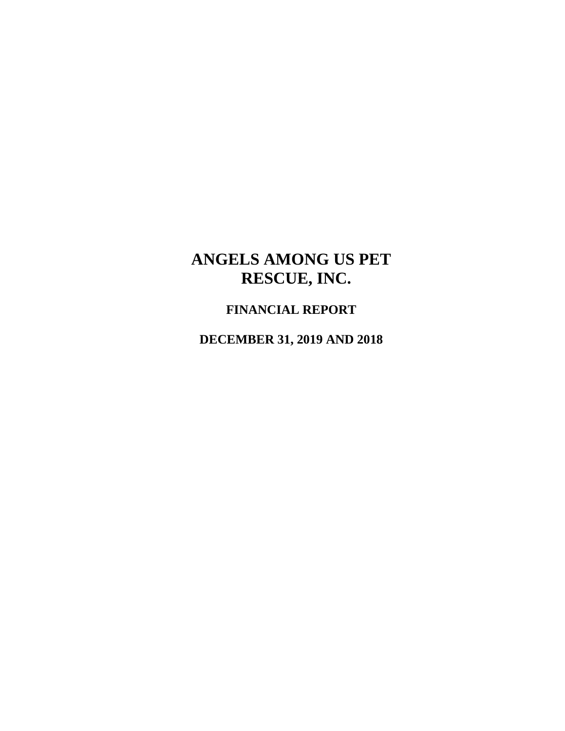**FINANCIAL REPORT**

**DECEMBER 31, 2019 AND 2018**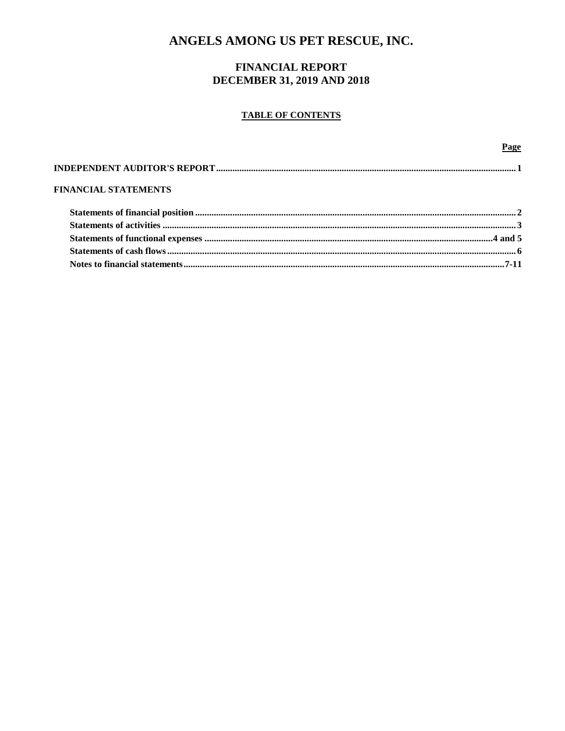### **FINANCIAL REPORT DECEMBER 31, 2019 AND 2018**

#### **TABLE OF CONTENTS**

Page

| <b>FINANCIAL STATEMENTS</b> |  |
|-----------------------------|--|
|                             |  |
|                             |  |
|                             |  |
|                             |  |
|                             |  |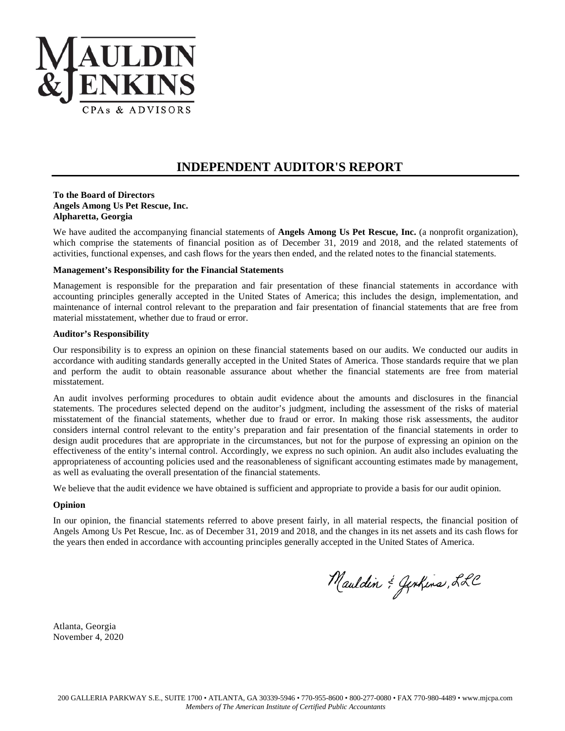

## **INDEPENDENT AUDITOR'S REPORT**

#### **To the Board of Directors Angels Among Us Pet Rescue, Inc. Alpharetta, Georgia**

We have audited the accompanying financial statements of **Angels Among Us Pet Rescue, Inc.** (a nonprofit organization), which comprise the statements of financial position as of December 31, 2019 and 2018, and the related statements of activities, functional expenses, and cash flows for the years then ended, and the related notes to the financial statements.

#### **Management's Responsibility for the Financial Statements**

Management is responsible for the preparation and fair presentation of these financial statements in accordance with accounting principles generally accepted in the United States of America; this includes the design, implementation, and maintenance of internal control relevant to the preparation and fair presentation of financial statements that are free from material misstatement, whether due to fraud or error.

#### **Auditor's Responsibility**

Our responsibility is to express an opinion on these financial statements based on our audits. We conducted our audits in accordance with auditing standards generally accepted in the United States of America. Those standards require that we plan and perform the audit to obtain reasonable assurance about whether the financial statements are free from material misstatement.

An audit involves performing procedures to obtain audit evidence about the amounts and disclosures in the financial statements. The procedures selected depend on the auditor's judgment, including the assessment of the risks of material misstatement of the financial statements, whether due to fraud or error. In making those risk assessments, the auditor considers internal control relevant to the entity's preparation and fair presentation of the financial statements in order to design audit procedures that are appropriate in the circumstances, but not for the purpose of expressing an opinion on the effectiveness of the entity's internal control. Accordingly, we express no such opinion. An audit also includes evaluating the appropriateness of accounting policies used and the reasonableness of significant accounting estimates made by management, as well as evaluating the overall presentation of the financial statements.

We believe that the audit evidence we have obtained is sufficient and appropriate to provide a basis for our audit opinion.

#### **Opinion**

In our opinion, the financial statements referred to above present fairly, in all material respects, the financial position of Angels Among Us Pet Rescue, Inc. as of December 31, 2019 and 2018, and the changes in its net assets and its cash flows for the years then ended in accordance with accounting principles generally accepted in the United States of America.

Mauldin & Gentins, LLC

Atlanta, Georgia November 4, 2020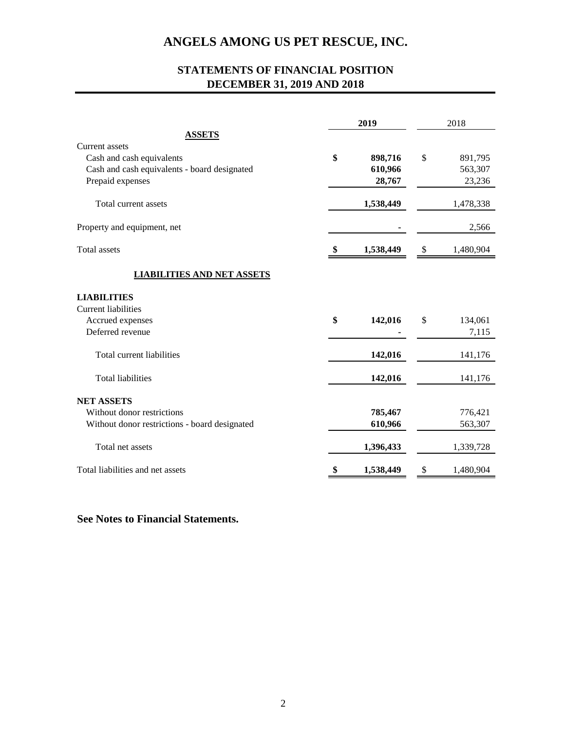### **STATEMENTS OF FINANCIAL POSITION DECEMBER 31, 2019 AND 2018**

|                                               | 2019 |           |    | 2018      |  |  |
|-----------------------------------------------|------|-----------|----|-----------|--|--|
| <b>ASSETS</b>                                 |      |           |    |           |  |  |
| Current assets<br>Cash and cash equivalents   | \$   | 898,716   | \$ | 891,795   |  |  |
| Cash and cash equivalents - board designated  |      | 610,966   |    | 563,307   |  |  |
| Prepaid expenses                              |      | 28,767    |    | 23,236    |  |  |
| Total current assets                          |      | 1,538,449 |    | 1,478,338 |  |  |
| Property and equipment, net                   |      |           |    | 2,566     |  |  |
| <b>Total assets</b>                           |      | 1,538,449 | \$ | 1,480,904 |  |  |
| <b>LIABILITIES AND NET ASSETS</b>             |      |           |    |           |  |  |
| <b>LIABILITIES</b>                            |      |           |    |           |  |  |
| <b>Current liabilities</b>                    |      |           |    |           |  |  |
| Accrued expenses                              | \$   | 142,016   | \$ | 134,061   |  |  |
| Deferred revenue                              |      |           |    | 7,115     |  |  |
| Total current liabilities                     |      | 142,016   |    | 141,176   |  |  |
| <b>Total liabilities</b>                      |      | 142,016   |    | 141,176   |  |  |
| <b>NET ASSETS</b>                             |      |           |    |           |  |  |
| Without donor restrictions                    |      | 785,467   |    | 776,421   |  |  |
| Without donor restrictions - board designated |      | 610,966   |    | 563,307   |  |  |
| Total net assets                              |      | 1,396,433 |    | 1,339,728 |  |  |
| Total liabilities and net assets              | \$   | 1,538,449 | \$ | 1,480,904 |  |  |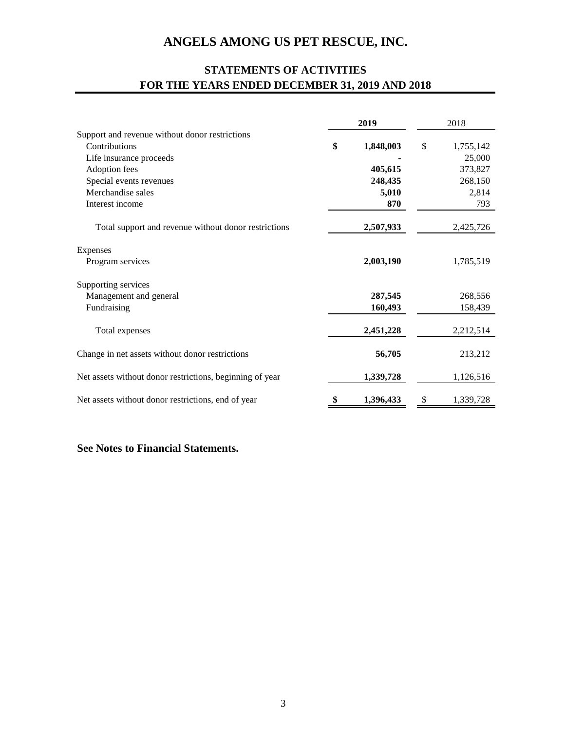## **STATEMENTS OF ACTIVITIES FOR THE YEARS ENDED DECEMBER 31, 2019 AND 2018**

|                                                          | 2019            | 2018 |           |  |
|----------------------------------------------------------|-----------------|------|-----------|--|
| Support and revenue without donor restrictions           |                 |      |           |  |
| Contributions                                            | \$<br>1,848,003 | \$   | 1,755,142 |  |
| Life insurance proceeds                                  |                 |      | 25,000    |  |
| Adoption fees                                            | 405,615         |      | 373,827   |  |
| Special events revenues                                  | 248,435         |      | 268,150   |  |
| Merchandise sales                                        | 5,010           |      | 2,814     |  |
| Interest income                                          | 870             |      | 793       |  |
| Total support and revenue without donor restrictions     | 2,507,933       |      | 2,425,726 |  |
| Expenses                                                 |                 |      |           |  |
| Program services                                         | 2,003,190       |      | 1,785,519 |  |
| Supporting services                                      |                 |      |           |  |
| Management and general                                   | 287,545         |      | 268,556   |  |
| Fundraising                                              | 160,493         |      | 158,439   |  |
| Total expenses                                           | 2,451,228       |      | 2,212,514 |  |
| Change in net assets without donor restrictions          | 56,705          |      | 213,212   |  |
| Net assets without donor restrictions, beginning of year | 1,339,728       |      | 1,126,516 |  |
| Net assets without donor restrictions, end of year       | \$<br>1,396,433 | \$   | 1,339,728 |  |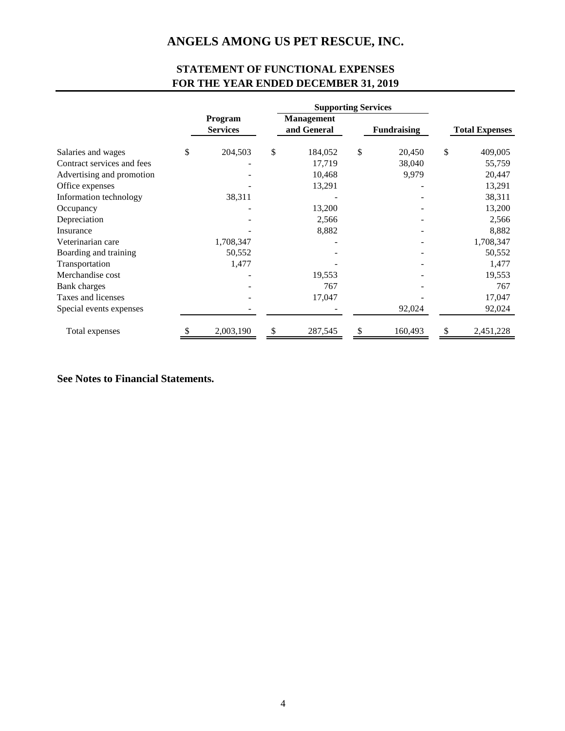|                            | <b>Supporting Services</b> |    |                                  |    |                    |                       |
|----------------------------|----------------------------|----|----------------------------------|----|--------------------|-----------------------|
|                            | Program<br><b>Services</b> |    | <b>Management</b><br>and General |    | <b>Fundraising</b> | <b>Total Expenses</b> |
| Salaries and wages         | \$<br>204,503              | \$ | 184,052                          | \$ | 20,450             | \$<br>409,005         |
| Contract services and fees |                            |    | 17,719                           |    | 38,040             | 55,759                |
| Advertising and promotion  |                            |    | 10,468                           |    | 9,979              | 20,447                |
| Office expenses            |                            |    | 13,291                           |    |                    | 13,291                |
| Information technology     | 38,311                     |    |                                  |    |                    | 38,311                |
| Occupancy                  |                            |    | 13,200                           |    |                    | 13,200                |
| Depreciation               |                            |    | 2,566                            |    |                    | 2,566                 |
| Insurance                  |                            |    | 8,882                            |    |                    | 8,882                 |
| Veterinarian care          | 1,708,347                  |    |                                  |    |                    | 1,708,347             |
| Boarding and training      | 50,552                     |    |                                  |    |                    | 50,552                |
| Transportation             | 1,477                      |    |                                  |    |                    | 1,477                 |
| Merchandise cost           |                            |    | 19,553                           |    |                    | 19,553                |
| Bank charges               |                            |    | 767                              |    |                    | 767                   |
| Taxes and licenses         |                            |    | 17,047                           |    |                    | 17,047                |
| Special events expenses    |                            |    |                                  |    | 92,024             | 92,024                |
| Total expenses             | 2,003,190                  | \$ | 287,545                          | \$ | 160,493            | \$<br>2,451,228       |

## **STATEMENT OF FUNCTIONAL EXPENSES FOR THE YEAR ENDED DECEMBER 31, 2019**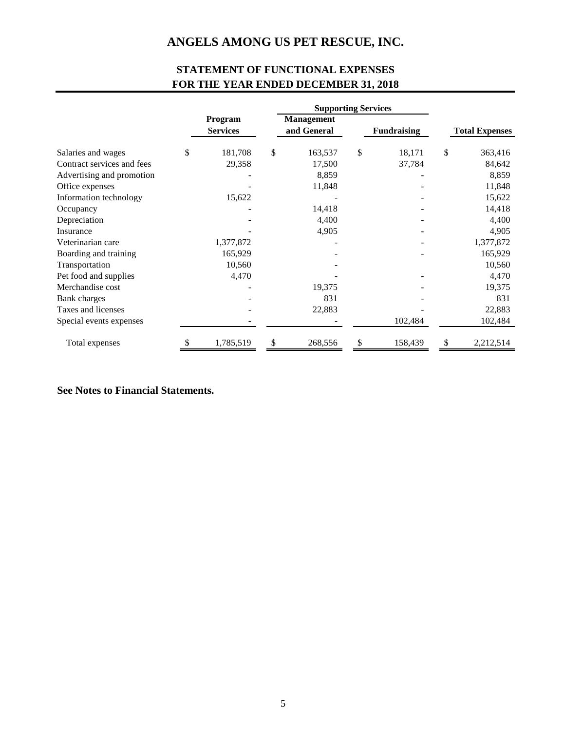|                            |    |                            |    |                                  | <b>Supporting Services</b> |                    |    |                       |
|----------------------------|----|----------------------------|----|----------------------------------|----------------------------|--------------------|----|-----------------------|
|                            |    | Program<br><b>Services</b> |    | <b>Management</b><br>and General |                            | <b>Fundraising</b> |    | <b>Total Expenses</b> |
| Salaries and wages         | \$ | 181,708                    | \$ | 163,537                          | \$                         | 18,171             | \$ | 363,416               |
| Contract services and fees |    | 29,358                     |    | 17,500                           |                            | 37,784             |    | 84,642                |
| Advertising and promotion  |    |                            |    | 8,859                            |                            |                    |    | 8,859                 |
| Office expenses            |    |                            |    | 11,848                           |                            |                    |    | 11,848                |
| Information technology     |    | 15,622                     |    |                                  |                            |                    |    | 15,622                |
| Occupancy                  |    |                            |    | 14,418                           |                            |                    |    | 14,418                |
| Depreciation               |    |                            |    | 4,400                            |                            |                    |    | 4,400                 |
| Insurance                  |    |                            |    | 4,905                            |                            |                    |    | 4,905                 |
| Veterinarian care          |    | 1,377,872                  |    |                                  |                            |                    |    | 1,377,872             |
| Boarding and training      |    | 165,929                    |    |                                  |                            |                    |    | 165,929               |
| Transportation             |    | 10,560                     |    |                                  |                            |                    |    | 10,560                |
| Pet food and supplies      |    | 4,470                      |    |                                  |                            |                    |    | 4,470                 |
| Merchandise cost           |    |                            |    | 19,375                           |                            |                    |    | 19,375                |
| <b>Bank</b> charges        |    |                            |    | 831                              |                            |                    |    | 831                   |
| Taxes and licenses         |    |                            |    | 22,883                           |                            |                    |    | 22,883                |
| Special events expenses    |    |                            |    |                                  |                            | 102,484            |    | 102,484               |
| Total expenses             | \$ | 1,785,519                  | \$ | 268,556                          | \$                         | 158,439            | \$ | 2,212,514             |

## **STATEMENT OF FUNCTIONAL EXPENSES FOR THE YEAR ENDED DECEMBER 31, 2018**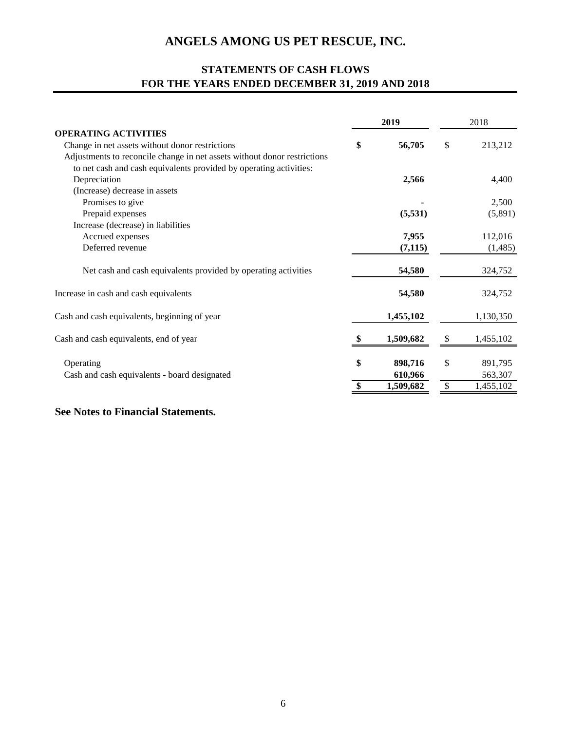## **STATEMENTS OF CASH FLOWS FOR THE YEARS ENDED DECEMBER 31, 2019 AND 2018**

|                                                                          | 2019            | 2018 |           |  |
|--------------------------------------------------------------------------|-----------------|------|-----------|--|
| <b>OPERATING ACTIVITIES</b>                                              |                 |      |           |  |
| Change in net assets without donor restrictions                          | \$<br>56,705    | \$   | 213,212   |  |
| Adjustments to reconcile change in net assets without donor restrictions |                 |      |           |  |
| to net cash and cash equivalents provided by operating activities:       |                 |      |           |  |
| Depreciation                                                             | 2,566           |      | 4,400     |  |
| (Increase) decrease in assets                                            |                 |      |           |  |
| Promises to give                                                         |                 |      | 2,500     |  |
| Prepaid expenses                                                         | (5,531)         |      | (5,891)   |  |
| Increase (decrease) in liabilities                                       |                 |      |           |  |
| Accrued expenses                                                         | 7,955           |      | 112,016   |  |
| Deferred revenue                                                         | (7, 115)        |      | (1,485)   |  |
| Net cash and cash equivalents provided by operating activities           | 54,580          |      | 324,752   |  |
| Increase in cash and cash equivalents                                    | 54,580          |      | 324,752   |  |
| Cash and cash equivalents, beginning of year                             | 1,455,102       |      | 1,130,350 |  |
| Cash and cash equivalents, end of year                                   | 1,509,682       | S    | 1,455,102 |  |
| Operating                                                                | \$<br>898,716   | \$   | 891,795   |  |
| Cash and cash equivalents - board designated                             | 610,966         |      | 563,307   |  |
|                                                                          | \$<br>1,509,682 | \$   | 1,455,102 |  |
|                                                                          |                 |      |           |  |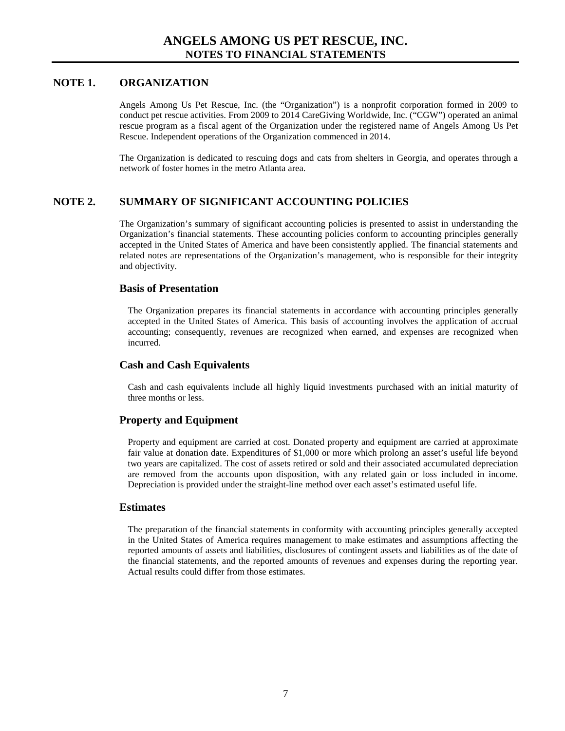#### **NOTE 1. ORGANIZATION**

Angels Among Us Pet Rescue, Inc. (the "Organization") is a nonprofit corporation formed in 2009 to conduct pet rescue activities. From 2009 to 2014 CareGiving Worldwide, Inc. ("CGW") operated an animal rescue program as a fiscal agent of the Organization under the registered name of Angels Among Us Pet Rescue. Independent operations of the Organization commenced in 2014.

The Organization is dedicated to rescuing dogs and cats from shelters in Georgia, and operates through a network of foster homes in the metro Atlanta area.

### **NOTE 2. SUMMARY OF SIGNIFICANT ACCOUNTING POLICIES**

The Organization's summary of significant accounting policies is presented to assist in understanding the Organization's financial statements. These accounting policies conform to accounting principles generally accepted in the United States of America and have been consistently applied. The financial statements and related notes are representations of the Organization's management, who is responsible for their integrity and objectivity.

#### **Basis of Presentation**

The Organization prepares its financial statements in accordance with accounting principles generally accepted in the United States of America. This basis of accounting involves the application of accrual accounting; consequently, revenues are recognized when earned, and expenses are recognized when incurred.

#### **Cash and Cash Equivalents**

Cash and cash equivalents include all highly liquid investments purchased with an initial maturity of three months or less.

### **Property and Equipment**

Property and equipment are carried at cost. Donated property and equipment are carried at approximate fair value at donation date. Expenditures of \$1,000 or more which prolong an asset's useful life beyond two years are capitalized. The cost of assets retired or sold and their associated accumulated depreciation are removed from the accounts upon disposition, with any related gain or loss included in income. Depreciation is provided under the straight-line method over each asset's estimated useful life.

#### **Estimates**

The preparation of the financial statements in conformity with accounting principles generally accepted in the United States of America requires management to make estimates and assumptions affecting the reported amounts of assets and liabilities, disclosures of contingent assets and liabilities as of the date of the financial statements, and the reported amounts of revenues and expenses during the reporting year. Actual results could differ from those estimates.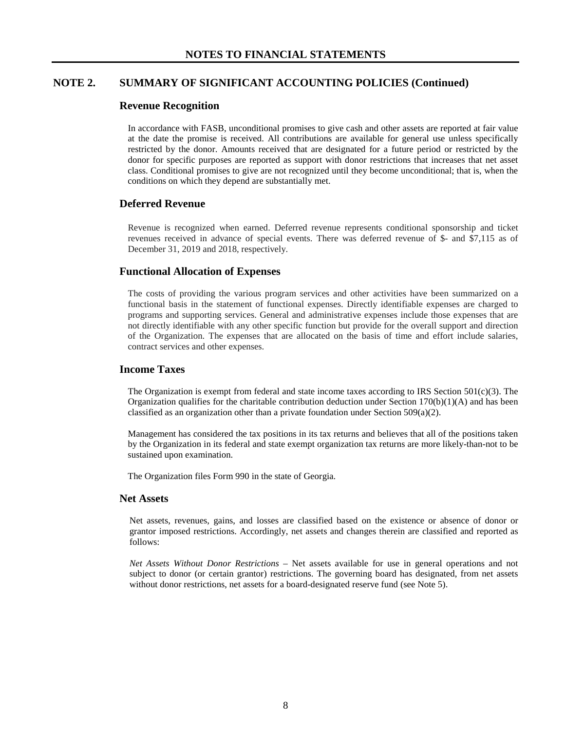#### **NOTE 2. SUMMARY OF SIGNIFICANT ACCOUNTING POLICIES (Continued)**

#### **Revenue Recognition**

In accordance with FASB, unconditional promises to give cash and other assets are reported at fair value at the date the promise is received. All contributions are available for general use unless specifically restricted by the donor. Amounts received that are designated for a future period or restricted by the donor for specific purposes are reported as support with donor restrictions that increases that net asset class. Conditional promises to give are not recognized until they become unconditional; that is, when the conditions on which they depend are substantially met.

#### **Deferred Revenue**

Revenue is recognized when earned. Deferred revenue represents conditional sponsorship and ticket revenues received in advance of special events. There was deferred revenue of \$- and \$7,115 as of December 31, 2019 and 2018, respectively.

#### **Functional Allocation of Expenses**

The costs of providing the various program services and other activities have been summarized on a functional basis in the statement of functional expenses. Directly identifiable expenses are charged to programs and supporting services. General and administrative expenses include those expenses that are not directly identifiable with any other specific function but provide for the overall support and direction of the Organization. The expenses that are allocated on the basis of time and effort include salaries, contract services and other expenses.

#### **Income Taxes**

The Organization is exempt from federal and state income taxes according to IRS Section  $501(c)(3)$ . The Organization qualifies for the charitable contribution deduction under Section  $170(b)(1)(A)$  and has been classified as an organization other than a private foundation under Section 509(a)(2).

Management has considered the tax positions in its tax returns and believes that all of the positions taken by the Organization in its federal and state exempt organization tax returns are more likely-than-not to be sustained upon examination.

The Organization files Form 990 in the state of Georgia.

#### **Net Assets**

Net assets, revenues, gains, and losses are classified based on the existence or absence of donor or grantor imposed restrictions. Accordingly, net assets and changes therein are classified and reported as follows:

*Net Assets Without Donor Restrictions –* Net assets available for use in general operations and not subject to donor (or certain grantor) restrictions. The governing board has designated, from net assets without donor restrictions, net assets for a board-designated reserve fund (see Note 5).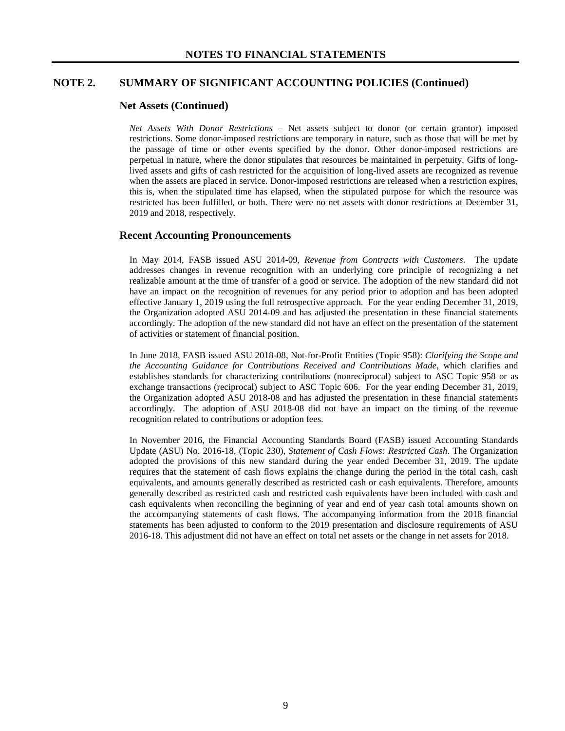#### **NOTE 2. SUMMARY OF SIGNIFICANT ACCOUNTING POLICIES (Continued)**

#### **Net Assets (Continued)**

*Net Assets With Donor Restrictions –* Net assets subject to donor (or certain grantor) imposed restrictions. Some donor-imposed restrictions are temporary in nature, such as those that will be met by the passage of time or other events specified by the donor. Other donor-imposed restrictions are perpetual in nature, where the donor stipulates that resources be maintained in perpetuity. Gifts of longlived assets and gifts of cash restricted for the acquisition of long-lived assets are recognized as revenue when the assets are placed in service. Donor-imposed restrictions are released when a restriction expires, this is, when the stipulated time has elapsed, when the stipulated purpose for which the resource was restricted has been fulfilled, or both. There were no net assets with donor restrictions at December 31, 2019 and 2018, respectively.

#### **Recent Accounting Pronouncements**

In May 2014, FASB issued ASU 2014-09, *Revenue from Contracts with Customers*. The update addresses changes in revenue recognition with an underlying core principle of recognizing a net realizable amount at the time of transfer of a good or service. The adoption of the new standard did not have an impact on the recognition of revenues for any period prior to adoption and has been adopted effective January 1, 2019 using the full retrospective approach. For the year ending December 31, 2019, the Organization adopted ASU 2014-09 and has adjusted the presentation in these financial statements accordingly. The adoption of the new standard did not have an effect on the presentation of the statement of activities or statement of financial position.

In June 2018, FASB issued ASU 2018-08, Not-for-Profit Entities (Topic 958): *Clarifying the Scope and the Accounting Guidance for Contributions Received and Contributions Made*, which clarifies and establishes standards for characterizing contributions (nonreciprocal) subject to ASC Topic 958 or as exchange transactions (reciprocal) subject to ASC Topic 606. For the year ending December 31, 2019, the Organization adopted ASU 2018-08 and has adjusted the presentation in these financial statements accordingly. The adoption of ASU 2018-08 did not have an impact on the timing of the revenue recognition related to contributions or adoption fees.

In November 2016, the Financial Accounting Standards Board (FASB) issued Accounting Standards Update (ASU) No. 2016-18, (Topic 230)*, Statement of Cash Flows: Restricted Cash*. The Organization adopted the provisions of this new standard during the year ended December 31, 2019. The update requires that the statement of cash flows explains the change during the period in the total cash, cash equivalents, and amounts generally described as restricted cash or cash equivalents. Therefore, amounts generally described as restricted cash and restricted cash equivalents have been included with cash and cash equivalents when reconciling the beginning of year and end of year cash total amounts shown on the accompanying statements of cash flows. The accompanying information from the 2018 financial statements has been adjusted to conform to the 2019 presentation and disclosure requirements of ASU 2016-18. This adjustment did not have an effect on total net assets or the change in net assets for 2018.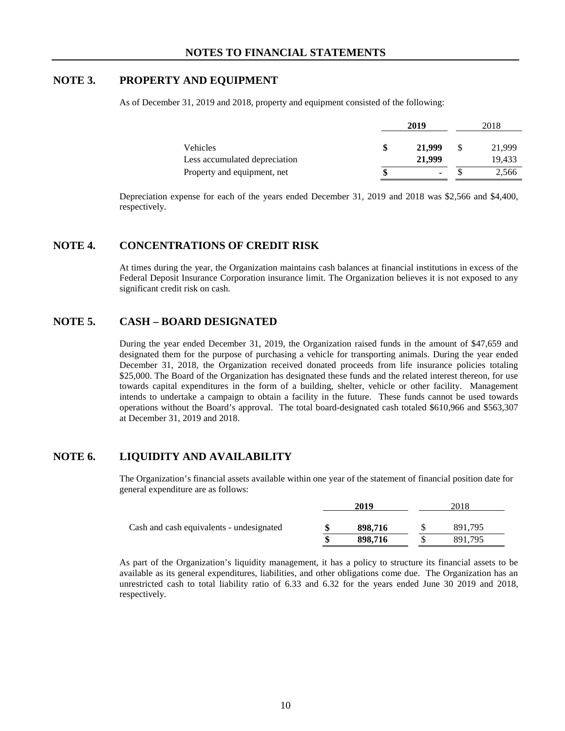#### **NOTE 3. PROPERTY AND EQUIPMENT**

As of December 31, 2019 and 2018, property and equipment consisted of the following:

|                               |  | 2018   |  |        |
|-------------------------------|--|--------|--|--------|
|                               |  |        |  |        |
| Vehicles                      |  | 21,999 |  | 21.999 |
| Less accumulated depreciation |  | 21.999 |  | 19,433 |
| Property and equipment, net   |  |        |  | 2.566  |

Depreciation expense for each of the years ended December 31, 2019 and 2018 was \$2,566 and \$4,400, respectively.

#### **NOTE 4. CONCENTRATIONS OF CREDIT RISK**

At times during the year, the Organization maintains cash balances at financial institutions in excess of the Federal Deposit Insurance Corporation insurance limit. The Organization believes it is not exposed to any significant credit risk on cash.

#### **NOTE 5. CASH – BOARD DESIGNATED**

During the year ended December 31, 2019, the Organization raised funds in the amount of \$47,659 and designated them for the purpose of purchasing a vehicle for transporting animals. During the year ended December 31, 2018, the Organization received donated proceeds from life insurance policies totaling \$25,000. The Board of the Organization has designated these funds and the related interest thereon, for use towards capital expenditures in the form of a building, shelter, vehicle or other facility. Management intends to undertake a campaign to obtain a facility in the future. These funds cannot be used towards operations without the Board's approval. The total board-designated cash totaled \$610,966 and \$563,307 at December 31, 2019 and 2018.

### **NOTE 6. LIQUIDITY AND AVAILABILITY**

The Organization's financial assets available within one year of the statement of financial position date for general expenditure are as follows:

|                                          | 2019    | 2018    |  |  |
|------------------------------------------|---------|---------|--|--|
| Cash and cash equivalents - undesignated | 898,716 | 891.795 |  |  |
|                                          | 898,716 | 891.795 |  |  |

As part of the Organization's liquidity management, it has a policy to structure its financial assets to be available as its general expenditures, liabilities, and other obligations come due. The Organization has an unrestricted cash to total liability ratio of 6.33 and 6.32 for the years ended June 30 2019 and 2018, respectively.